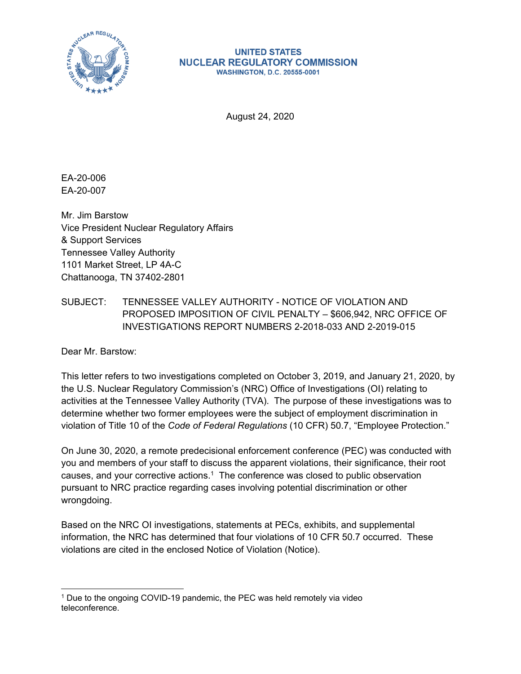

#### **UNITED STATES NUCLEAR REGULATORY COMMISSION WASHINGTON, D.C. 20555-0001**

August 24, 2020

EA-20-006 EA-20-007

Mr. Jim Barstow Vice President Nuclear Regulatory Affairs & Support Services Tennessee Valley Authority 1101 Market Street, LP 4A-C Chattanooga, TN 37402-2801

## SUBJECT: TENNESSEE VALLEY AUTHORITY - NOTICE OF VIOLATION AND PROPOSED IMPOSITION OF CIVIL PENALTY – \$606,942, NRC OFFICE OF INVESTIGATIONS REPORT NUMBERS 2-2018-033 AND 2-2019-015

Dear Mr. Barstow:

This letter refers to two investigations completed on October 3, 2019, and January 21, 2020, by the U.S. Nuclear Regulatory Commission's (NRC) Office of Investigations (OI) relating to activities at the Tennessee Valley Authority (TVA). The purpose of these investigations was to determine whether two former employees were the subject of employment discrimination in violation of Title 10 of the *Code of Federal Regulations* (10 CFR) 50.7, "Employee Protection."

On June 30, 2020, a remote predecisional enforcement conference (PEC) was conducted with you and members of your staff to discuss the apparent violations, their significance, their root causes, and your corrective actions.<sup>1</sup> The conference was closed to public observation pursuant to NRC practice regarding cases involving potential discrimination or other wrongdoing.

Based on the NRC OI investigations, statements at PECs, exhibits, and supplemental information, the NRC has determined that four violations of 10 CFR 50.7 occurred. These violations are cited in the enclosed Notice of Violation (Notice).

 $1$  Due to the ongoing COVID-19 pandemic, the PEC was held remotely via video teleconference.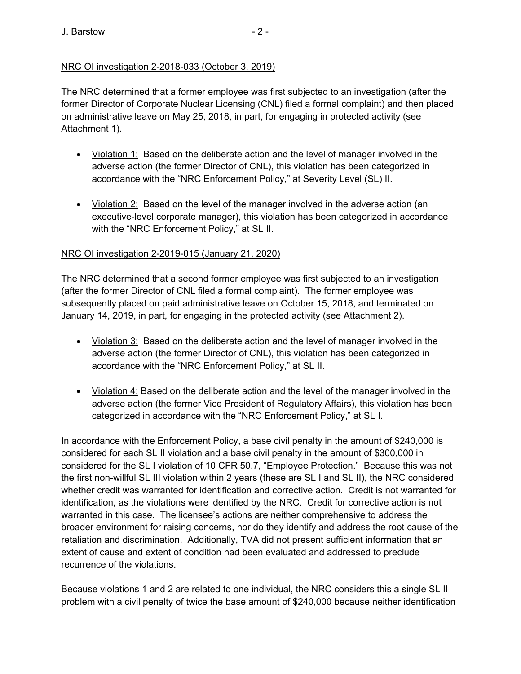The NRC determined that a former employee was first subjected to an investigation (after the former Director of Corporate Nuclear Licensing (CNL) filed a formal complaint) and then placed on administrative leave on May 25, 2018, in part, for engaging in protected activity (see Attachment 1).

- Violation 1: Based on the deliberate action and the level of manager involved in the adverse action (the former Director of CNL), this violation has been categorized in accordance with the "NRC Enforcement Policy," at Severity Level (SL) II.
- Violation 2: Based on the level of the manager involved in the adverse action (an executive-level corporate manager), this violation has been categorized in accordance with the "NRC Enforcement Policy," at SL II.

## NRC OI investigation 2-2019-015 (January 21, 2020)

The NRC determined that a second former employee was first subjected to an investigation (after the former Director of CNL filed a formal complaint). The former employee was subsequently placed on paid administrative leave on October 15, 2018, and terminated on January 14, 2019, in part, for engaging in the protected activity (see Attachment 2).

- Violation 3: Based on the deliberate action and the level of manager involved in the adverse action (the former Director of CNL), this violation has been categorized in accordance with the "NRC Enforcement Policy," at SL II.
- Violation 4: Based on the deliberate action and the level of the manager involved in the adverse action (the former Vice President of Regulatory Affairs), this violation has been categorized in accordance with the "NRC Enforcement Policy," at SL I.

In accordance with the Enforcement Policy, a base civil penalty in the amount of \$240,000 is considered for each SL II violation and a base civil penalty in the amount of \$300,000 in considered for the SL I violation of 10 CFR 50.7, "Employee Protection." Because this was not the first non-willful SL III violation within 2 years (these are SL I and SL II), the NRC considered whether credit was warranted for identification and corrective action. Credit is not warranted for identification, as the violations were identified by the NRC. Credit for corrective action is not warranted in this case. The licensee's actions are neither comprehensive to address the broader environment for raising concerns, nor do they identify and address the root cause of the retaliation and discrimination. Additionally, TVA did not present sufficient information that an extent of cause and extent of condition had been evaluated and addressed to preclude recurrence of the violations.

Because violations 1 and 2 are related to one individual, the NRC considers this a single SL II problem with a civil penalty of twice the base amount of \$240,000 because neither identification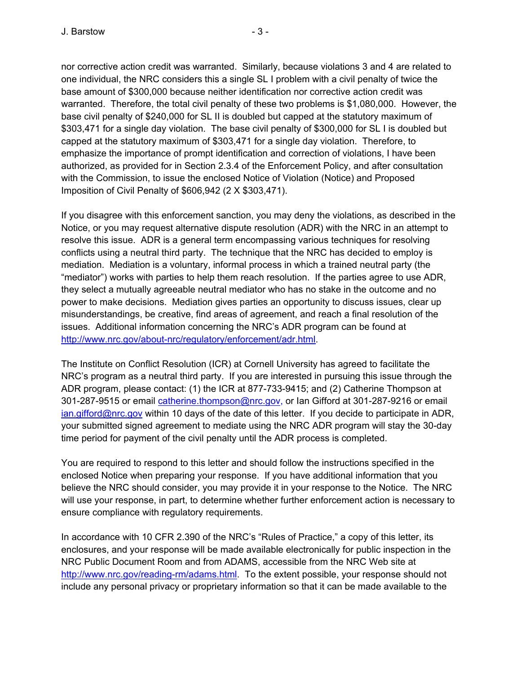nor corrective action credit was warranted. Similarly, because violations 3 and 4 are related to one individual, the NRC considers this a single SL I problem with a civil penalty of twice the base amount of \$300,000 because neither identification nor corrective action credit was warranted. Therefore, the total civil penalty of these two problems is \$1,080,000. However, the base civil penalty of \$240,000 for SL II is doubled but capped at the statutory maximum of \$303,471 for a single day violation. The base civil penalty of \$300,000 for SL I is doubled but capped at the statutory maximum of \$303,471 for a single day violation. Therefore, to emphasize the importance of prompt identification and correction of violations, I have been authorized, as provided for in Section 2.3.4 of the Enforcement Policy, and after consultation with the Commission, to issue the enclosed Notice of Violation (Notice) and Proposed Imposition of Civil Penalty of \$606,942 (2 X \$303,471).

If you disagree with this enforcement sanction, you may deny the violations, as described in the Notice, or you may request alternative dispute resolution (ADR) with the NRC in an attempt to resolve this issue. ADR is a general term encompassing various techniques for resolving conflicts using a neutral third party. The technique that the NRC has decided to employ is mediation. Mediation is a voluntary, informal process in which a trained neutral party (the "mediator") works with parties to help them reach resolution. If the parties agree to use ADR, they select a mutually agreeable neutral mediator who has no stake in the outcome and no power to make decisions. Mediation gives parties an opportunity to discuss issues, clear up misunderstandings, be creative, find areas of agreement, and reach a final resolution of the issues. Additional information concerning the NRC's ADR program can be found at http://www.nrc.gov/about-nrc/regulatory/enforcement/adr.html.

The Institute on Conflict Resolution (ICR) at Cornell University has agreed to facilitate the NRC's program as a neutral third party. If you are interested in pursuing this issue through the ADR program, please contact: (1) the ICR at 877-733-9415; and (2) Catherine Thompson at 301-287-9515 or email *catherine.thompson@nrc.gov*, or lan Gifford at 301-287-9216 or email ian.gifford@nrc.gov within 10 days of the date of this letter. If you decide to participate in ADR, your submitted signed agreement to mediate using the NRC ADR program will stay the 30-day time period for payment of the civil penalty until the ADR process is completed.

You are required to respond to this letter and should follow the instructions specified in the enclosed Notice when preparing your response. If you have additional information that you believe the NRC should consider, you may provide it in your response to the Notice. The NRC will use your response, in part, to determine whether further enforcement action is necessary to ensure compliance with regulatory requirements.

In accordance with 10 CFR 2.390 of the NRC's "Rules of Practice," a copy of this letter, its enclosures, and your response will be made available electronically for public inspection in the NRC Public Document Room and from ADAMS, accessible from the NRC Web site at http://www.nrc.gov/reading-rm/adams.html. To the extent possible, your response should not include any personal privacy or proprietary information so that it can be made available to the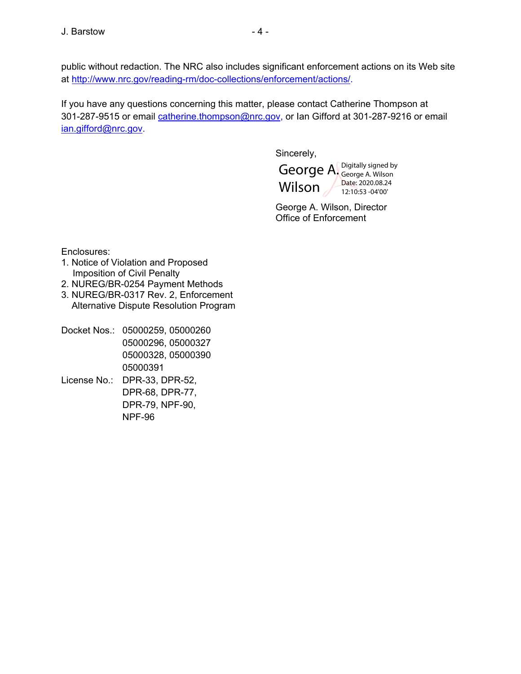public without redaction. The NRC also includes significant enforcement actions on its Web site at http://www.nrc.gov/reading-rm/doc-collections/enforcement/actions/.

If you have any questions concerning this matter, please contact Catherine Thompson at 301-287-9515 or email catherine.thompson@nrc.gov, or lan Gifford at 301-287-9216 or email ian.gifford@nrc.gov.

Sincerely,



George A. Wilson, Director Office of Enforcement

Enclosures:

- 1. Notice of Violation and Proposed Imposition of Civil Penalty
- 2. NUREG/BR-0254 Payment Methods
- 3. NUREG/BR-0317 Rev. 2, Enforcement Alternative Dispute Resolution Program
- Docket Nos.: 05000259, 05000260 05000296, 05000327 05000328, 05000390 05000391 License No.: DPR-33, DPR-52,
- DPR-68, DPR-77, DPR-79, NPF-90, NPF-96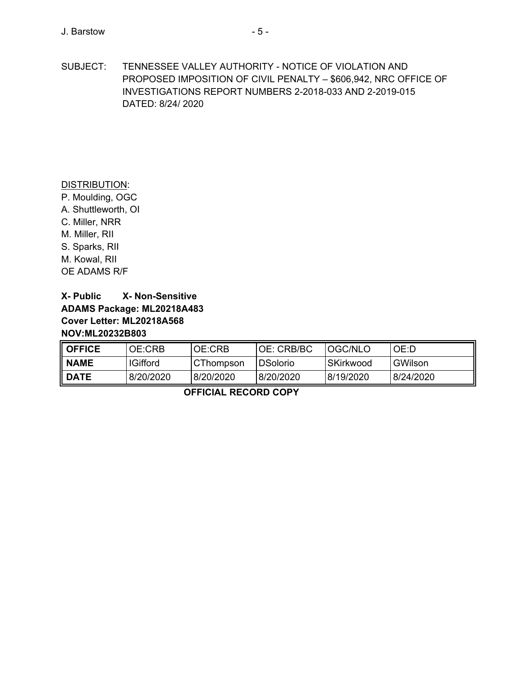SUBJECT: TENNESSEE VALLEY AUTHORITY - NOTICE OF VIOLATION AND PROPOSED IMPOSITION OF CIVIL PENALTY – \$606,942, NRC OFFICE OF INVESTIGATIONS REPORT NUMBERS 2-2018-033 AND 2-2019-015 DATED: 8/24/ 2020

#### DISTRIBUTION:

P. Moulding, OGC A. Shuttleworth, OI C. Miller, NRR M. Miller, RII S. Sparks, RII M. Kowal, RII OE ADAMS R/F

# **X- Public X- Non-Sensitive ADAMS Package: ML20218A483 Cover Letter: ML20218A568 NOV:ML20232B803**

| <b>OFFICE</b> | <b>OE:CRB</b>   | OE:CRB           | <b>OE: CRB/BC</b> | <b>OGC/NLO</b> | OE:D      |
|---------------|-----------------|------------------|-------------------|----------------|-----------|
| <b>NAME</b>   | <b>IGifford</b> | <b>CThompson</b> | I DSolorio        | l SKirkwood    | GWilson   |
| <b>DATE</b>   | 8/20/2020       | 8/20/2020        | 8/20/2020         | 8/19/2020      | 8/24/2020 |

**OFFICIAL RECORD COPY**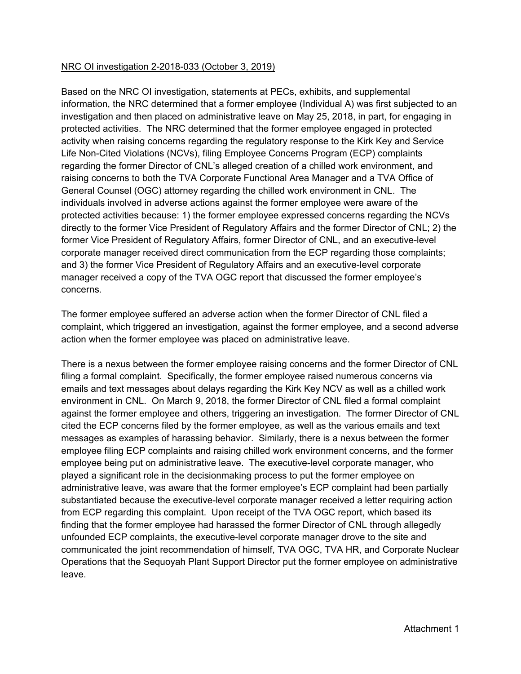### NRC OI investigation 2-2018-033 (October 3, 2019)

Based on the NRC OI investigation, statements at PECs, exhibits, and supplemental information, the NRC determined that a former employee (Individual A) was first subjected to an investigation and then placed on administrative leave on May 25, 2018, in part, for engaging in protected activities. The NRC determined that the former employee engaged in protected activity when raising concerns regarding the regulatory response to the Kirk Key and Service Life Non-Cited Violations (NCVs), filing Employee Concerns Program (ECP) complaints regarding the former Director of CNL's alleged creation of a chilled work environment, and raising concerns to both the TVA Corporate Functional Area Manager and a TVA Office of General Counsel (OGC) attorney regarding the chilled work environment in CNL. The individuals involved in adverse actions against the former employee were aware of the protected activities because: 1) the former employee expressed concerns regarding the NCVs directly to the former Vice President of Regulatory Affairs and the former Director of CNL; 2) the former Vice President of Regulatory Affairs, former Director of CNL, and an executive-level corporate manager received direct communication from the ECP regarding those complaints; and 3) the former Vice President of Regulatory Affairs and an executive-level corporate manager received a copy of the TVA OGC report that discussed the former employee's concerns.

The former employee suffered an adverse action when the former Director of CNL filed a complaint, which triggered an investigation, against the former employee, and a second adverse action when the former employee was placed on administrative leave.

There is a nexus between the former employee raising concerns and the former Director of CNL filing a formal complaint. Specifically, the former employee raised numerous concerns via emails and text messages about delays regarding the Kirk Key NCV as well as a chilled work environment in CNL. On March 9, 2018, the former Director of CNL filed a formal complaint against the former employee and others, triggering an investigation. The former Director of CNL cited the ECP concerns filed by the former employee, as well as the various emails and text messages as examples of harassing behavior. Similarly, there is a nexus between the former employee filing ECP complaints and raising chilled work environment concerns, and the former employee being put on administrative leave. The executive-level corporate manager, who played a significant role in the decisionmaking process to put the former employee on administrative leave, was aware that the former employee's ECP complaint had been partially substantiated because the executive-level corporate manager received a letter requiring action from ECP regarding this complaint. Upon receipt of the TVA OGC report, which based its finding that the former employee had harassed the former Director of CNL through allegedly unfounded ECP complaints, the executive-level corporate manager drove to the site and communicated the joint recommendation of himself, TVA OGC, TVA HR, and Corporate Nuclear Operations that the Sequoyah Plant Support Director put the former employee on administrative leave.